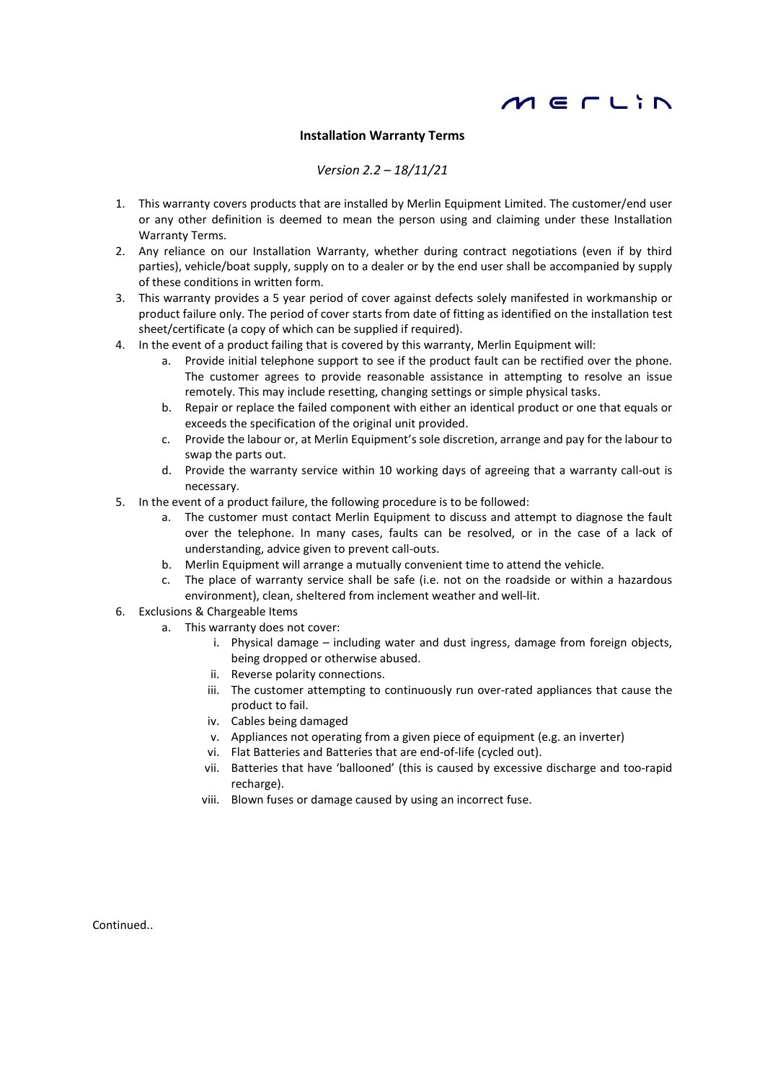

## Installation Warranty Terms

## Version 2.2 – 18/11/21

- 1. This warranty covers products that are installed by Merlin Equipment Limited. The customer/end user or any other definition is deemed to mean the person using and claiming under these Installation Warranty Terms.
- 2. Any reliance on our Installation Warranty, whether during contract negotiations (even if by third parties), vehicle/boat supply, supply on to a dealer or by the end user shall be accompanied by supply of these conditions in written form.
- 3. This warranty provides a 5 year period of cover against defects solely manifested in workmanship or product failure only. The period of cover starts from date of fitting as identified on the installation test sheet/certificate (a copy of which can be supplied if required).
- 4. In the event of a product failing that is covered by this warranty, Merlin Equipment will:
	- a. Provide initial telephone support to see if the product fault can be rectified over the phone. The customer agrees to provide reasonable assistance in attempting to resolve an issue remotely. This may include resetting, changing settings or simple physical tasks.
	- b. Repair or replace the failed component with either an identical product or one that equals or exceeds the specification of the original unit provided.
	- c. Provide the labour or, at Merlin Equipment's sole discretion, arrange and pay for the labour to swap the parts out.
	- d. Provide the warranty service within 10 working days of agreeing that a warranty call-out is necessary.
- 5. In the event of a product failure, the following procedure is to be followed:
	- a. The customer must contact Merlin Equipment to discuss and attempt to diagnose the fault over the telephone. In many cases, faults can be resolved, or in the case of a lack of understanding, advice given to prevent call-outs.
	- b. Merlin Equipment will arrange a mutually convenient time to attend the vehicle.
	- c. The place of warranty service shall be safe (i.e. not on the roadside or within a hazardous environment), clean, sheltered from inclement weather and well-lit.
- 6. Exclusions & Chargeable Items
	- a. This warranty does not cover:
		- i. Physical damage including water and dust ingress, damage from foreign objects, being dropped or otherwise abused.
		- ii. Reverse polarity connections.
		- iii. The customer attempting to continuously run over-rated appliances that cause the product to fail.
		- iv. Cables being damaged
		- v. Appliances not operating from a given piece of equipment (e.g. an inverter)
		- vi. Flat Batteries and Batteries that are end-of-life (cycled out).
		- vii. Batteries that have 'ballooned' (this is caused by excessive discharge and too-rapid recharge).
		- viii. Blown fuses or damage caused by using an incorrect fuse.

Continued..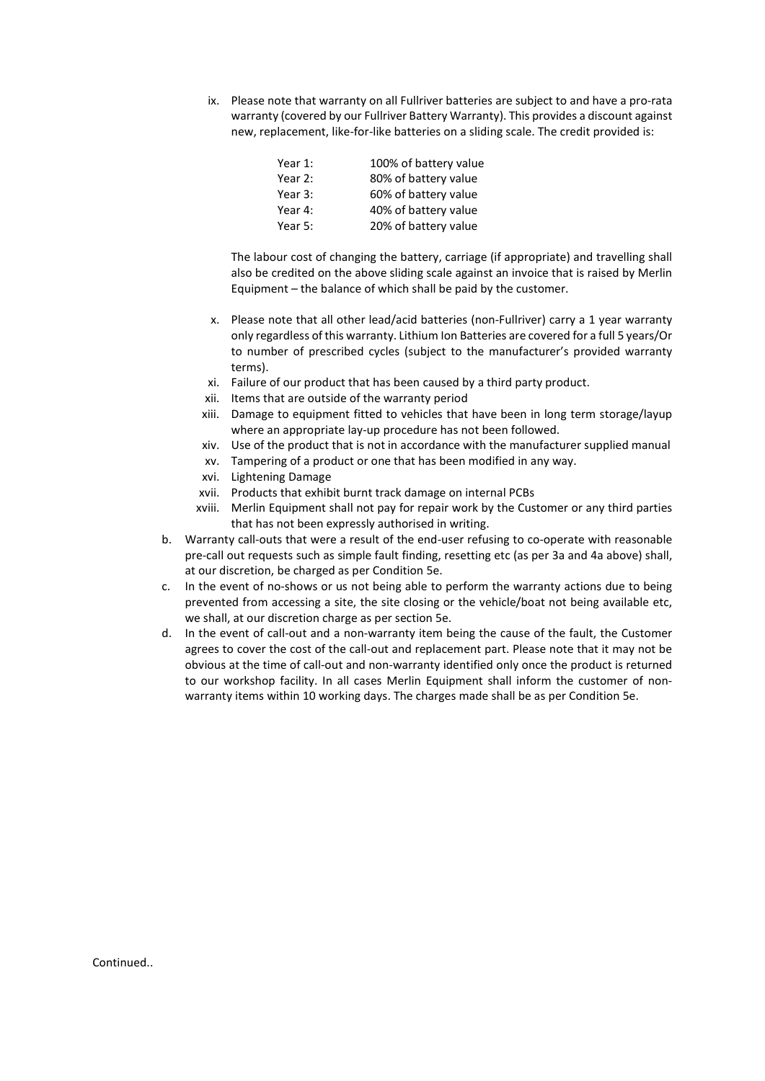ix. Please note that warranty on all Fullriver batteries are subject to and have a pro-rata warranty (covered by our Fullriver Battery Warranty). This provides a discount against new, replacement, like-for-like batteries on a sliding scale. The credit provided is:

| Year 1: | 100% of battery value |
|---------|-----------------------|
| Year 2: | 80% of battery value  |
| Year 3: | 60% of battery value  |
| Year 4: | 40% of battery value  |
| Year 5: | 20% of battery value  |

The labour cost of changing the battery, carriage (if appropriate) and travelling shall also be credited on the above sliding scale against an invoice that is raised by Merlin Equipment – the balance of which shall be paid by the customer.

- x. Please note that all other lead/acid batteries (non-Fullriver) carry a 1 year warranty only regardless of this warranty. Lithium Ion Batteries are covered for a full 5 years/Or to number of prescribed cycles (subject to the manufacturer's provided warranty terms).
- xi. Failure of our product that has been caused by a third party product.
- xii. Items that are outside of the warranty period
- xiii. Damage to equipment fitted to vehicles that have been in long term storage/layup where an appropriate lay-up procedure has not been followed.
- xiv. Use of the product that is not in accordance with the manufacturer supplied manual xv. Tampering of a product or one that has been modified in any way.
- xvi. Lightening Damage
- xvii. Products that exhibit burnt track damage on internal PCBs
- xviii. Merlin Equipment shall not pay for repair work by the Customer or any third parties that has not been expressly authorised in writing.
- b. Warranty call-outs that were a result of the end-user refusing to co-operate with reasonable pre-call out requests such as simple fault finding, resetting etc (as per 3a and 4a above) shall, at our discretion, be charged as per Condition 5e.
- c. In the event of no-shows or us not being able to perform the warranty actions due to being prevented from accessing a site, the site closing or the vehicle/boat not being available etc, we shall, at our discretion charge as per section 5e.
- d. In the event of call-out and a non-warranty item being the cause of the fault, the Customer agrees to cover the cost of the call-out and replacement part. Please note that it may not be obvious at the time of call-out and non-warranty identified only once the product is returned to our workshop facility. In all cases Merlin Equipment shall inform the customer of nonwarranty items within 10 working days. The charges made shall be as per Condition 5e.

Continued..